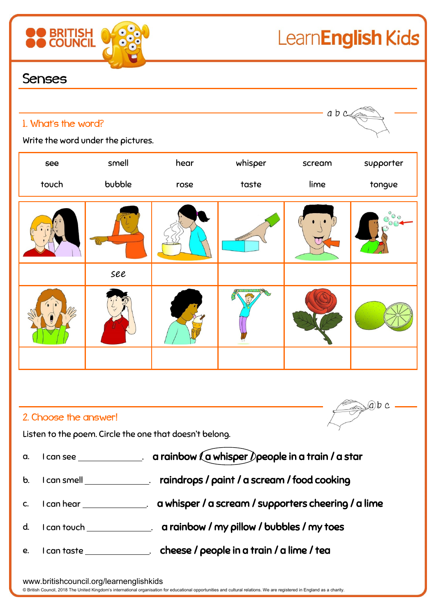

 $(a) b c$ 

## Senses

**BRITISH**<br>COUNCIL

| a b c<br>1. What's the word?<br>Write the word under the pictures. |        |      |         |        |            |  |  |
|--------------------------------------------------------------------|--------|------|---------|--------|------------|--|--|
| see                                                                | smell  | hear | whisper | scream | supporter  |  |  |
| touch                                                              | bubble | rose | taste   | lime   | tongue     |  |  |
|                                                                    |        |      |         |        | $^{\circ}$ |  |  |
|                                                                    | see    |      |         |        |            |  |  |
|                                                                    |        |      |         |        |            |  |  |
|                                                                    |        |      |         |        |            |  |  |

## 2. Choose the answer!

Listen to the poem. Circle the one that doesn't belong.

|  | a. I can see |  |  | a rainbow $\ell$ a whisper $\ell$ people in a train $\ell$ a star |  |
|--|--------------|--|--|-------------------------------------------------------------------|--|
|--|--------------|--|--|-------------------------------------------------------------------|--|

- b. I can smell **contain the solution of the container** to real cooking to real cooking
- c. I can hear **come and the same of a scream / supporters cheering / a lime**
- d. I can touch \_\_\_\_\_\_\_\_\_\_\_\_\_. a rainbow / my pillow / bubbles / my toes
- e. I can taste \_\_\_\_\_\_\_\_\_\_\_\_\_\_\_. cheese / people in a train / a lime / tea

www.britishcouncil.org/learnenglishkids

© British Council, 2018 The United Kingdom's international organisation for educational opportunities and cultural relations. We are registered in England as a charity.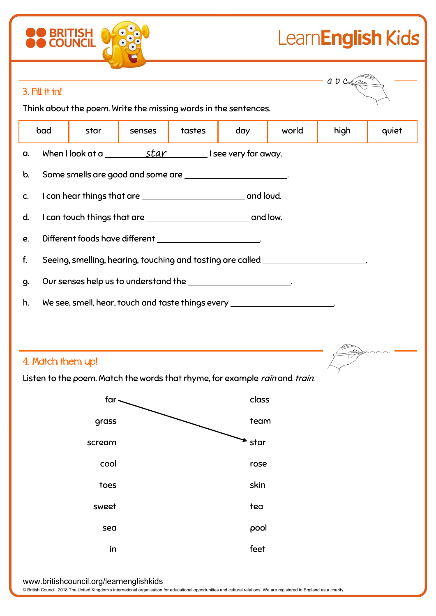## LearnEnglish Kids

|                                                                             |                                                                                   |        |        |       |       | a b class |       |  |
|-----------------------------------------------------------------------------|-----------------------------------------------------------------------------------|--------|--------|-------|-------|-----------|-------|--|
| 3. Fill it in!                                                              |                                                                                   |        |        |       |       |           |       |  |
| Think about the poem. Write the missing words in the sentences.             |                                                                                   |        |        |       |       |           |       |  |
| bad                                                                         | star                                                                              | senses | tastes | day   | world | high      | quiet |  |
| When I look at a $\underline{\hspace{1cm}}$ star I see very far away.<br>а. |                                                                                   |        |        |       |       |           |       |  |
| b.                                                                          | Some smells are good and some are _______________________.                        |        |        |       |       |           |       |  |
| C.                                                                          |                                                                                   |        |        |       |       |           |       |  |
| d.                                                                          |                                                                                   |        |        |       |       |           |       |  |
| Different foods have different _______________________.<br>e.               |                                                                                   |        |        |       |       |           |       |  |
| f.                                                                          | Seeing, smelling, hearing, touching and tasting are called _____________________. |        |        |       |       |           |       |  |
| 9.                                                                          | Our senses help us to understand the _______________________.                     |        |        |       |       |           |       |  |
| h.                                                                          | We see, smell, hear, touch and taste things every _______________________.        |        |        |       |       |           |       |  |
|                                                                             |                                                                                   |        |        |       |       |           |       |  |
|                                                                             |                                                                                   |        |        |       |       |           |       |  |
| 4. Match them up!                                                           |                                                                                   |        |        |       |       |           |       |  |
|                                                                             | Listen to the poem. Match the words that rhyme, for example rain and train.       |        |        |       |       |           |       |  |
|                                                                             | far.                                                                              |        |        | class |       |           |       |  |
|                                                                             | grass                                                                             |        |        | team  |       |           |       |  |
|                                                                             | scream                                                                            |        |        | star  |       |           |       |  |
|                                                                             | cool                                                                              |        |        | rose  |       |           |       |  |
|                                                                             | toes                                                                              |        |        | skin  |       |           |       |  |
|                                                                             | sweet                                                                             |        |        | tea   |       |           |       |  |
|                                                                             | sea                                                                               |        |        | pool  |       |           |       |  |
|                                                                             | in                                                                                |        |        | feet  |       |           |       |  |
|                                                                             |                                                                                   |        |        |       |       |           |       |  |

www.britishcouncil.org/learnenglishkids

**OO BRITISH OF 888** 

© British Council, 2018 The United Kingdom's international organisation for educational opportunities and cultural relations. We are registered in England as a charity.